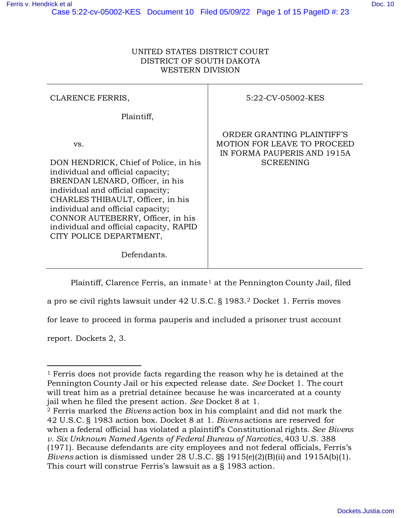| CLARENCE FERRIS,                                                                                                                                                                                                                                                                                                                               | 5:22-CV-05002-KES                                                                                                   |
|------------------------------------------------------------------------------------------------------------------------------------------------------------------------------------------------------------------------------------------------------------------------------------------------------------------------------------------------|---------------------------------------------------------------------------------------------------------------------|
| Plaintiff,                                                                                                                                                                                                                                                                                                                                     |                                                                                                                     |
| VS.<br>DON HENDRICK, Chief of Police, in his<br>individual and official capacity;<br>BRENDAN LENARD, Officer, in his<br>individual and official capacity;<br>CHARLES THIBAULT, Officer, in his<br>individual and official capacity;<br>CONNOR AUTEBERRY, Officer, in his<br>individual and official capacity, RAPID<br>CITY POLICE DEPARTMENT, | ORDER GRANTING PLAINTIFF'S<br><b>MOTION FOR LEAVE TO PROCEED</b><br>IN FORMA PAUPERIS AND 1915A<br><b>SCREENING</b> |
| Defendants.                                                                                                                                                                                                                                                                                                                                    |                                                                                                                     |

Plaintiff, Clarence Ferris, an inmate<sup>[1](#page-0-0)</sup> at the Pennington County Jail, filed

a pro se civil rights lawsuit under 42 U.S.C. § 1983.[2](#page-0-1) Docket 1. Ferris moves

for leave to proceed in forma pauperis and included a prisoner trust account

report. Dockets 2, 3.

<span id="page-0-0"></span><sup>1</sup> Ferris does not provide facts regarding the reason why he is detained at the Pennington County Jail or his expected release date. *See* Docket 1. The court will treat him as a pretrial detainee because he was incarcerated at a county jail when he filed the present action. *See* Docket 8 at 1.

<span id="page-0-1"></span><sup>2</sup> Ferris marked the *Bivens* action box in his complaint and did not mark the 42 U.S.C. § 1983 action box. Docket 8 at 1. *Bivens* actions are reserved for when a federal official has violated a plaintiff's Constitutional rights. *See Bivens v. Six Unknown Named Agents of Federal Bureau of Narcotics*, 403 U.S. 388 (1971). Because defendants are city employees and not federal officials, Ferris's *Bivens* action is dismissed under 28 U.S.C. §§ 1915(e)(2)(B)(ii) and 1915A(b)(1). This court will construe Ferris's lawsuit as a § 1983 action.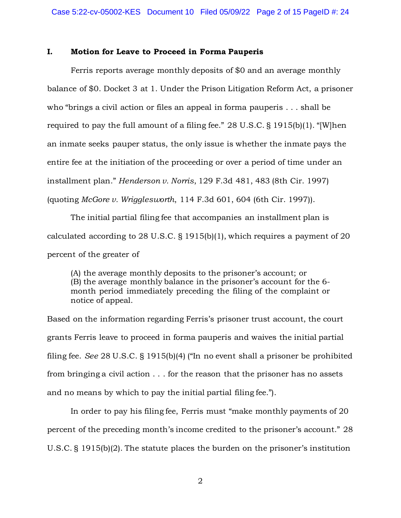### **I. Motion for Leave to Proceed in Forma Pauperis**

Ferris reports average monthly deposits of \$0 and an average monthly balance of \$0. Docket 3 at 1. Under the Prison Litigation Reform Act, a prisoner who "brings a civil action or files an appeal in forma pauperis . . . shall be required to pay the full amount of a filing fee." 28 U.S.C. § 1915(b)(1). "[W]hen an inmate seeks pauper status, the only issue is whether the inmate pays the entire fee at the initiation of the proceeding or over a period of time under an installment plan." *Henderson v. Norris*, 129 F.3d 481, 483 (8th Cir. 1997) (quoting *McGore v. Wrigglesworth*, 114 F.3d 601, 604 (6th Cir. 1997)).

The initial partial filing fee that accompanies an installment plan is calculated according to 28 U.S.C. § 1915(b)(1), which requires a payment of 20 percent of the greater of

(A) the average monthly deposits to the prisoner's account; or (B) the average monthly balance in the prisoner's account for the 6 month period immediately preceding the filing of the complaint or notice of appeal.

Based on the information regarding Ferris's prisoner trust account, the court grants Ferris leave to proceed in forma pauperis and waives the initial partial filing fee. *See* 28 U.S.C. § 1915(b)(4) ("In no event shall a prisoner be prohibited from bringing a civil action . . . for the reason that the prisoner has no assets and no means by which to pay the initial partial filing fee.").

In order to pay his filing fee, Ferris must "make monthly payments of 20 percent of the preceding month's income credited to the prisoner's account." 28 U.S.C. § 1915(b)(2). The statute places the burden on the prisoner's institution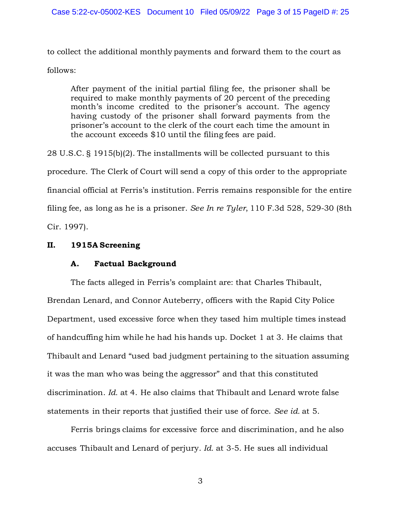to collect the additional monthly payments and forward them to the court as follows:

After payment of the initial partial filing fee, the prisoner shall be required to make monthly payments of 20 percent of the preceding month's income credited to the prisoner's account. The agency having custody of the prisoner shall forward payments from the prisoner's account to the clerk of the court each time the amount in the account exceeds \$10 until the filing fees are paid.

28 U.S.C. § 1915(b)(2). The installments will be collected pursuant to this procedure. The Clerk of Court will send a copy of this order to the appropriate financial official at Ferris's institution. Ferris remains responsible for the entire filing fee, as long as he is a prisoner. *See In re Tyler*, 110 F.3d 528, 529-30 (8th Cir. 1997).

# **II. 1915A Screening**

## **A. Factual Background**

The facts alleged in Ferris's complaint are: that Charles Thibault, Brendan Lenard, and Connor Auteberry, officers with the Rapid City Police Department, used excessive force when they tased him multiple times instead of handcuffing him while he had his hands up. Docket 1 at 3. He claims that Thibault and Lenard "used bad judgment pertaining to the situation assuming it was the man who was being the aggressor" and that this constituted discrimination. *Id.* at 4. He also claims that Thibault and Lenard wrote false statements in their reports that justified their use of force. *See id.* at 5.

Ferris brings claims for excessive force and discrimination, and he also accuses Thibault and Lenard of perjury. *Id.* at 3-5. He sues all individual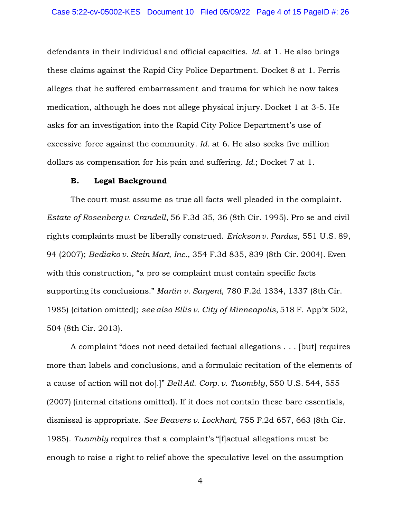defendants in their individual and official capacities. *Id.* at 1. He also brings these claims against the Rapid City Police Department. Docket 8 at 1. Ferris alleges that he suffered embarrassment and trauma for which he now takes medication, although he does not allege physical injury. Docket 1 at 3-5. He asks for an investigation into the Rapid City Police Department's use of excessive force against the community. *Id.* at 6. He also seeks five million dollars as compensation for his pain and suffering. *Id.*; Docket 7 at 1.

#### **B. Legal Background**

The court must assume as true all facts well pleaded in the complaint. *Estate of Rosenberg v. Crandell*, 56 F.3d 35, 36 (8th Cir. 1995). Pro se and civil rights complaints must be liberally construed. *Erickson v. Pardus*, 551 U.S. 89, 94 (2007); *Bediako v. Stein Mart, Inc.*, 354 F.3d 835, 839 (8th Cir. 2004). Even with this construction, "a pro se complaint must contain specific facts supporting its conclusions." *Martin v. Sargent*, 780 F.2d 1334, 1337 (8th Cir. 1985) (citation omitted); *see also Ellis v. City of Minneapolis*, 518 F. App'x 502, 504 (8th Cir. 2013).

A complaint "does not need detailed factual allegations . . . [but] requires more than labels and conclusions, and a formulaic recitation of the elements of a cause of action will not do[.]" *Bell Atl. Corp. v. Twombly*, 550 U.S. 544, 555 (2007) (internal citations omitted). If it does not contain these bare essentials, dismissal is appropriate. *See Beavers v. Lockhart*, 755 F.2d 657, 663 (8th Cir. 1985). *Twombly* requires that a complaint's "[f]actual allegations must be enough to raise a right to relief above the speculative level on the assumption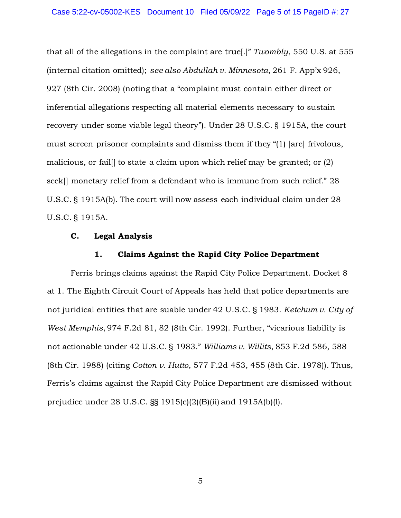that all of the allegations in the complaint are true[.]" *Twombly*, 550 U.S. at 555 (internal citation omitted); *see also Abdullah v. Minnesota*, 261 F. App'x 926, 927 (8th Cir. 2008) (noting that a "complaint must contain either direct or inferential allegations respecting all material elements necessary to sustain recovery under some viable legal theory"). Under 28 U.S.C. § 1915A, the court must screen prisoner complaints and dismiss them if they "(1) [are] frivolous, malicious, or fail[] to state a claim upon which relief may be granted; or (2) seek<sup>[]</sup> monetary relief from a defendant who is immune from such relief." 28 U.S.C. § 1915A(b). The court will now assess each individual claim under 28 U.S.C. § 1915A.

### **C. Legal Analysis**

#### **1. Claims Against the Rapid City Police Department**

Ferris brings claims against the Rapid City Police Department. Docket 8 at 1. The Eighth Circuit Court of Appeals has held that police departments are not juridical entities that are suable under 42 U.S.C. § 1983. *Ketchum v. City of West Memphis*, 974 F.2d 81, 82 (8th Cir. 1992). Further, "vicarious liability is not actionable under 42 U.S.C. § 1983." *Williams v. Willits*, 853 F.2d 586, 588 (8th Cir. 1988) (citing *Cotton v. Hutto*, 577 F.2d 453, 455 (8th Cir. 1978)). Thus, Ferris's claims against the Rapid City Police Department are dismissed without prejudice under 28 U.S.C. §§ 1915(e)(2)(B)(ii) and 1915A(b)(l).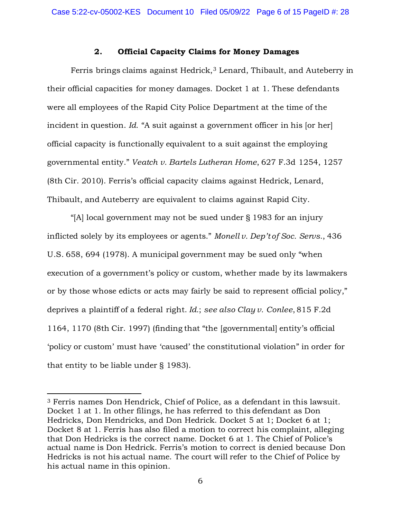### **2. Official Capacity Claims for Money Damages**

Ferris brings claims against Hedrick,<sup>[3](#page-5-0)</sup> Lenard, Thibault, and Auteberry in their official capacities for money damages. Docket 1 at 1. These defendants were all employees of the Rapid City Police Department at the time of the incident in question. *Id.* "A suit against a government officer in his [or her] official capacity is functionally equivalent to a suit against the employing governmental entity." *Veatch v. Bartels Lutheran Home*, 627 F.3d 1254, 1257 (8th Cir. 2010). Ferris's official capacity claims against Hedrick, Lenard, Thibault, and Auteberry are equivalent to claims against Rapid City.

"[A] local government may not be sued under § 1983 for an injury inflicted solely by its employees or agents." *Monell v. Dep't of Soc. Servs.*, 436 U.S. 658, 694 (1978). A municipal government may be sued only "when execution of a government's policy or custom, whether made by its lawmakers or by those whose edicts or acts may fairly be said to represent official policy," deprives a plaintiff of a federal right. *Id.*; *see also Clay v. Conlee*, 815 F.2d 1164, 1170 (8th Cir. 1997) (finding that "the [governmental] entity's official 'policy or custom' must have 'caused' the constitutional violation" in order for that entity to be liable under § 1983).

<span id="page-5-0"></span><sup>3</sup> Ferris names Don Hendrick, Chief of Police, as a defendant in this lawsuit. Docket 1 at 1. In other filings, he has referred to this defendant as Don Hedricks, Don Hendricks, and Don Hedrick. Docket 5 at 1; Docket 6 at 1; Docket 8 at 1. Ferris has also filed a motion to correct his complaint, alleging that Don Hedricks is the correct name. Docket 6 at 1. The Chief of Police's actual name is Don Hedrick. Ferris's motion to correct is denied because Don Hedricks is not his actual name. The court will refer to the Chief of Police by his actual name in this opinion.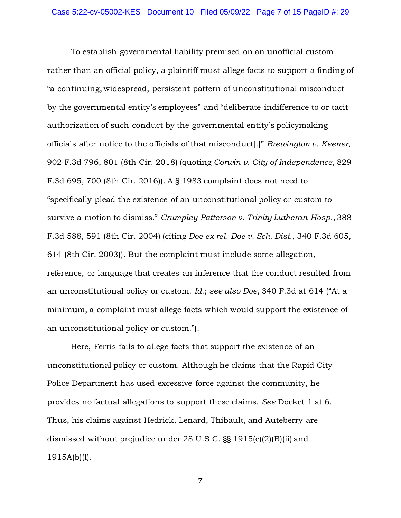To establish governmental liability premised on an unofficial custom rather than an official policy, a plaintiff must allege facts to support a finding of "a continuing, widespread, persistent pattern of unconstitutional misconduct by the governmental entity's employees" and "deliberate indifference to or tacit authorization of such conduct by the governmental entity's policymaking officials after notice to the officials of that misconduct[.]" *Brewington v. Keener*, 902 F.3d 796, 801 (8th Cir. 2018) (quoting *Corwin v. City of Independence*, 829 F.3d 695, 700 (8th Cir. 2016)). A § 1983 complaint does not need to "specifically plead the existence of an unconstitutional policy or custom to survive a motion to dismiss." *Crumpley-Patterson v. Trinity Lutheran Hosp.*, 388 F.3d 588, 591 (8th Cir. 2004) (citing *Doe ex rel. Doe v. Sch. Dist.*, 340 F.3d 605, 614 (8th Cir. 2003)). But the complaint must include some allegation, reference, or language that creates an inference that the conduct resulted from an unconstitutional policy or custom. *Id.*; *see also Doe*, 340 F.3d at 614 ("At a minimum, a complaint must allege facts which would support the existence of an unconstitutional policy or custom.").

Here, Ferris fails to allege facts that support the existence of an unconstitutional policy or custom. Although he claims that the Rapid City Police Department has used excessive force against the community, he provides no factual allegations to support these claims. *See* Docket 1 at 6. Thus, his claims against Hedrick, Lenard, Thibault, and Auteberry are dismissed without prejudice under 28 U.S.C. §§ 1915(e)(2)(B)(ii) and 1915A(b)(l).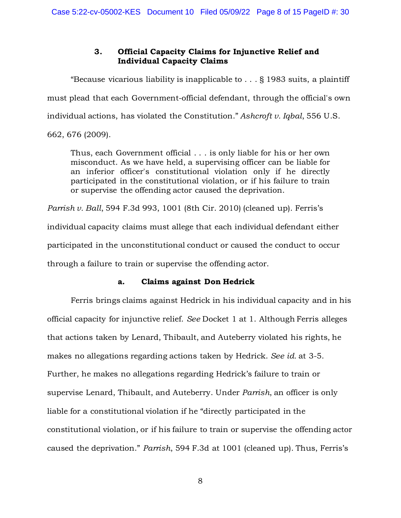# **3. Official Capacity Claims for Injunctive Relief and Individual Capacity Claims**

"Because vicarious liability is inapplicable to . . . [§ 1983](https://advance.lexis.com/document/?pdmfid=1000516&crid=4886d77b-9620-43b6-b74f-315faa08d740&pddocfullpath=%2Fshared%2Fdocument%2Fcases%2Furn%3AcontentItem%3A5T4K-BH31-JN14-G1Y9-00000-00&pdcontentcomponentid=6418&pdshepid=urn%3AcontentItem%3A5T4M-B9V1-J9X6-H27K-00000-00&pdteaserkey=sr0&pditab=allpods&pdworkfolderlocatorid=NOT_SAVED_IN_WORKFOLDER&ecomp=ppnqk&earg=sr0&prid=7cc19747-57ff-46d4-ba1c-2240eba28810) suits, a plaintiff must plead that each Government-official defendant, through the official's own individual actions, has violated the Constitution." *[Ashcroft v. Iqbal](https://advance.lexis.com/document/?pdmfid=1000516&crid=4886d77b-9620-43b6-b74f-315faa08d740&pddocfullpath=%2Fshared%2Fdocument%2Fcases%2Furn%3AcontentItem%3A5T4K-BH31-JN14-G1Y9-00000-00&pdcontentcomponentid=6418&pdshepid=urn%3AcontentItem%3A5T4M-B9V1-J9X6-H27K-00000-00&pdteaserkey=sr0&pditab=allpods&pdworkfolderlocatorid=NOT_SAVED_IN_WORKFOLDER&ecomp=ppnqk&earg=sr0&prid=7cc19747-57ff-46d4-ba1c-2240eba28810)*[, 556 U.S.](https://advance.lexis.com/document/?pdmfid=1000516&crid=4886d77b-9620-43b6-b74f-315faa08d740&pddocfullpath=%2Fshared%2Fdocument%2Fcases%2Furn%3AcontentItem%3A5T4K-BH31-JN14-G1Y9-00000-00&pdcontentcomponentid=6418&pdshepid=urn%3AcontentItem%3A5T4M-B9V1-J9X6-H27K-00000-00&pdteaserkey=sr0&pditab=allpods&pdworkfolderlocatorid=NOT_SAVED_IN_WORKFOLDER&ecomp=ppnqk&earg=sr0&prid=7cc19747-57ff-46d4-ba1c-2240eba28810)  [662, 676 \(2009\).](https://advance.lexis.com/document/?pdmfid=1000516&crid=4886d77b-9620-43b6-b74f-315faa08d740&pddocfullpath=%2Fshared%2Fdocument%2Fcases%2Furn%3AcontentItem%3A5T4K-BH31-JN14-G1Y9-00000-00&pdcontentcomponentid=6418&pdshepid=urn%3AcontentItem%3A5T4M-B9V1-J9X6-H27K-00000-00&pdteaserkey=sr0&pditab=allpods&pdworkfolderlocatorid=NOT_SAVED_IN_WORKFOLDER&ecomp=ppnqk&earg=sr0&prid=7cc19747-57ff-46d4-ba1c-2240eba28810)

Thus, each Government official . . . is only liable for his or her own misconduct. As we have held, a supervising officer can be liable for an inferior officer's constitutional violation only if he directly participated in the constitutional violation, or if his failure to train or supervise the offending actor caused the deprivation.

*[Parrish v. Ball](https://advance.lexis.com/document/?pdmfid=1000516&crid=4886d77b-9620-43b6-b74f-315faa08d740&pddocfullpath=%2Fshared%2Fdocument%2Fcases%2Furn%3AcontentItem%3A5T4K-BH31-JN14-G1Y9-00000-00&pdcontentcomponentid=6418&pdshepid=urn%3AcontentItem%3A5T4M-B9V1-J9X6-H27K-00000-00&pdteaserkey=sr0&pditab=allpods&pdworkfolderlocatorid=NOT_SAVED_IN_WORKFOLDER&ecomp=ppnqk&earg=sr0&prid=7cc19747-57ff-46d4-ba1c-2240eba28810)*[, 594 F.3d 993, 1001 \(8th Cir. 2010\)](https://advance.lexis.com/document/?pdmfid=1000516&crid=4886d77b-9620-43b6-b74f-315faa08d740&pddocfullpath=%2Fshared%2Fdocument%2Fcases%2Furn%3AcontentItem%3A5T4K-BH31-JN14-G1Y9-00000-00&pdcontentcomponentid=6418&pdshepid=urn%3AcontentItem%3A5T4M-B9V1-J9X6-H27K-00000-00&pdteaserkey=sr0&pditab=allpods&pdworkfolderlocatorid=NOT_SAVED_IN_WORKFOLDER&ecomp=ppnqk&earg=sr0&prid=7cc19747-57ff-46d4-ba1c-2240eba28810) (cleaned up). Ferris's individual capacity claims must allege that each individual defendant either participated in the unconstitutional conduct or caused the conduct to occur through a failure to train or supervise the offending actor.

### **a. Claims against Don Hedrick**

Ferris brings claims against Hedrick in his individual capacity and in his official capacity for injunctive relief. *See* Docket 1 at 1. Although Ferris alleges that actions taken by Lenard, Thibault, and Auteberry violated his rights, he makes no allegations regarding actions taken by Hedrick. *See id.* at 3-5. Further, he makes no allegations regarding Hedrick's failure to train or supervise Lenard, Thibault, and Auteberry. Under *Parrish*, an officer is only liable for a constitutional violation if he "directly participated in the constitutional violation, or if his failure to train or supervise the offending actor caused the deprivation." *Parrish*, 594 F.3d at 1001 (cleaned up). Thus, Ferris's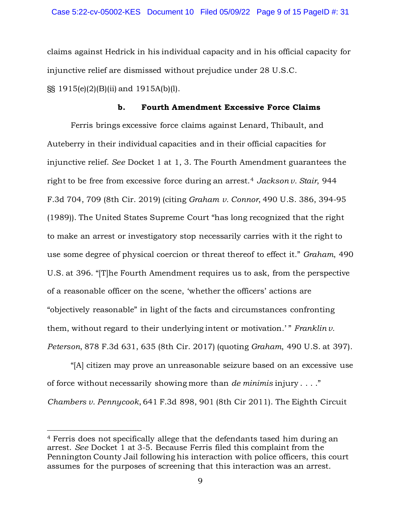claims against Hedrick in his individual capacity and in his official capacity for injunctive relief are dismissed without prejudice under 28 U.S.C. §§ 1915(e)(2)(B)(ii) and 1915A(b)(l).

### **b. Fourth Amendment Excessive Force Claims**

Ferris brings excessive force claims against Lenard, Thibault, and Auteberry in their individual capacities and in their official capacities for injunctive relief. *See* Docket 1 at 1, 3. The Fourth Amendment guarantees the right to be free from excessive force during an arrest.[4](#page-8-0) *Jackson v. Stair*, 944 F.3d 704, 709 (8th Cir. 2019) (citing *Graham v. Connor*, 490 U.S. 386, 394-95 (1989)). The United States Supreme Court "has long recognized that the right to make an arrest or investigatory stop necessarily carries with it the right to use some degree of physical coercion or threat thereof to effect it." *[Graham](https://advance.lexis.com/document/teaserdocument/?pdmfid=1000516&crid=ae9edae4-267d-4068-913c-779863c55c3d&pdteaserkey=h1&pditab=allpods&pddocfullpath=%2Fshared%2Fdocument%2Fcases%2Furn%3AcontentItem%3A5S72-NS41-FGJR-20NT-00000-00&ecomp=_zt4k&earg=sr1&prid=bfc2685a-d1ad-47de-95d8-1941664287b6)*[, 490](https://advance.lexis.com/document/teaserdocument/?pdmfid=1000516&crid=ae9edae4-267d-4068-913c-779863c55c3d&pdteaserkey=h1&pditab=allpods&pddocfullpath=%2Fshared%2Fdocument%2Fcases%2Furn%3AcontentItem%3A5S72-NS41-FGJR-20NT-00000-00&ecomp=_zt4k&earg=sr1&prid=bfc2685a-d1ad-47de-95d8-1941664287b6)  [U.S. at 396.](https://advance.lexis.com/document/teaserdocument/?pdmfid=1000516&crid=ae9edae4-267d-4068-913c-779863c55c3d&pdteaserkey=h1&pditab=allpods&pddocfullpath=%2Fshared%2Fdocument%2Fcases%2Furn%3AcontentItem%3A5S72-NS41-FGJR-20NT-00000-00&ecomp=_zt4k&earg=sr1&prid=bfc2685a-d1ad-47de-95d8-1941664287b6) "[T]he [Fourth Amendment](https://advance.lexis.com/document/teaserdocument/?pdmfid=1000516&crid=ae9edae4-267d-4068-913c-779863c55c3d&pdteaserkey=h1&pditab=allpods&pddocfullpath=%2Fshared%2Fdocument%2Fcases%2Furn%3AcontentItem%3A5S72-NS41-FGJR-20NT-00000-00&ecomp=_zt4k&earg=sr1&prid=bfc2685a-d1ad-47de-95d8-1941664287b6) requires us to ask, from the perspective of a reasonable officer on the scene, 'whether the officers' actions are "objectively reasonable" in light of the facts and circumstances confronting them, without regard to their underlying intent or motivation.' "*Franklin v. [Peterson](https://advance.lexis.com/document/teaserdocument/?pdmfid=1000516&crid=ae9edae4-267d-4068-913c-779863c55c3d&pdteaserkey=h1&pditab=allpods&pddocfullpath=%2Fshared%2Fdocument%2Fcases%2Furn%3AcontentItem%3A5S72-NS41-FGJR-20NT-00000-00&ecomp=_zt4k&earg=sr1&prid=bfc2685a-d1ad-47de-95d8-1941664287b6)*[, 878 F.3d 631, 635](https://advance.lexis.com/document/teaserdocument/?pdmfid=1000516&crid=ae9edae4-267d-4068-913c-779863c55c3d&pdteaserkey=h1&pditab=allpods&pddocfullpath=%2Fshared%2Fdocument%2Fcases%2Furn%3AcontentItem%3A5S72-NS41-FGJR-20NT-00000-00&ecomp=_zt4k&earg=sr1&prid=bfc2685a-d1ad-47de-95d8-1941664287b6) (8th Cir. 2017) (quoting *[Graham](https://advance.lexis.com/document/teaserdocument/?pdmfid=1000516&crid=ae9edae4-267d-4068-913c-779863c55c3d&pdteaserkey=h1&pditab=allpods&pddocfullpath=%2Fshared%2Fdocument%2Fcases%2Furn%3AcontentItem%3A5S72-NS41-FGJR-20NT-00000-00&ecomp=_zt4k&earg=sr1&prid=bfc2685a-d1ad-47de-95d8-1941664287b6)*[, 490 U.S. at 397\).](https://advance.lexis.com/document/teaserdocument/?pdmfid=1000516&crid=ae9edae4-267d-4068-913c-779863c55c3d&pdteaserkey=h1&pditab=allpods&pddocfullpath=%2Fshared%2Fdocument%2Fcases%2Furn%3AcontentItem%3A5S72-NS41-FGJR-20NT-00000-00&ecomp=_zt4k&earg=sr1&prid=bfc2685a-d1ad-47de-95d8-1941664287b6)

"[A] citizen may prove an unreasonable seizure based on an excessive use of force without necessarily showing more than *de minimis* injury . . . ." *Chambers v. Pennycook*, 641 F.3d 898, 901 (8th Cir 2011). The Eighth Circuit

<span id="page-8-0"></span><sup>4</sup> Ferris does not specifically allege that the defendants tased him during an arrest. *See* Docket 1 at 3-5. Because Ferris filed this complaint from the Pennington County Jail following his interaction with police officers, this court assumes for the purposes of screening that this interaction was an arrest.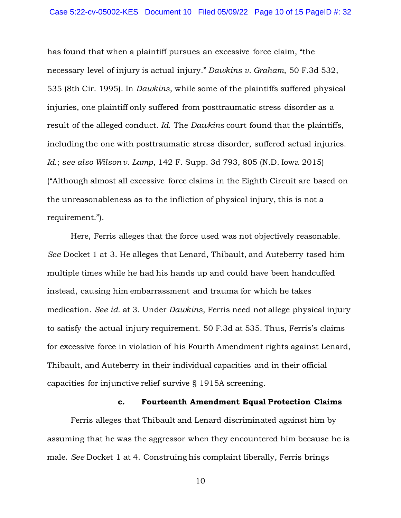has found that when a plaintiff pursues an excessive force claim, "the necessary level of injury is actual injury." *Dawkins v. Graham*, 50 F.3d 532, 535 (8th Cir. 1995). In *Dawkins*, while some of the plaintiffs suffered physical injuries, one plaintiff only suffered from posttraumatic stress disorder as a result of the alleged conduct. *Id.* The *Dawkins* court found that the plaintiffs, including the one with posttraumatic stress disorder, suffered actual injuries. *Id.*; *see also Wilson v. Lamp*, 142 F. Supp. 3d 793, 805 (N.D. Iowa 2015) ("Although almost all excessive force claims in the Eighth Circuit are based on the unreasonableness as to the infliction of physical injury, this is not a requirement.").

Here, Ferris alleges that the force used was not objectively reasonable. *See* Docket 1 at 3. He alleges that Lenard, Thibault, and Auteberry tased him multiple times while he had his hands up and could have been handcuffed instead, causing him embarrassment and trauma for which he takes medication. *See id.* at 3. Under *Dawkins*, Ferris need not allege physical injury to satisfy the actual injury requirement. 50 F.3d at 535. Thus, Ferris's claims for excessive force in violation of his Fourth Amendment rights against Lenard, Thibault, and Auteberry in their individual capacities and in their official capacities for injunctive relief survive § 1915A screening.

#### **c. Fourteenth Amendment Equal Protection Claims**

Ferris alleges that Thibault and Lenard discriminated against him by assuming that he was the aggressor when they encountered him because he is male. *See* Docket 1 at 4. Construing his complaint liberally, Ferris brings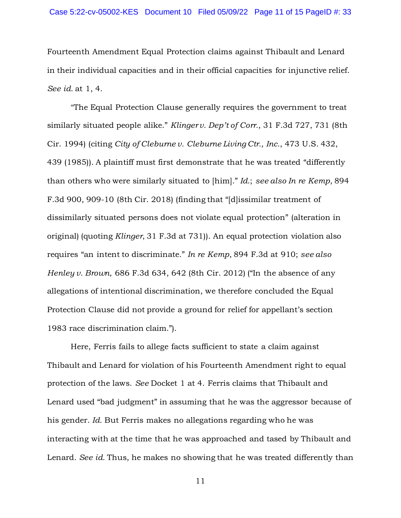Fourteenth Amendment Equal Protection claims against Thibault and Lenard in their individual capacities and in their official capacities for injunctive relief. *See id.* at 1, 4.

"The [Equal Protection Clause](https://advance.lexis.com/document/?pdmfid=1000516&crid=d8663190-945d-43c6-ad96-4d7079a836c6&pddocfullpath=%2Fshared%2Fdocument%2Fcases%2Furn%3AcontentItem%3A5TBV-8681-JX8W-M47R-00000-00&pddocid=urn%3AcontentItem%3A5TBV-8681-JX8W-M47R-00000-00&pdcontentcomponentid=6418&pdteaserkey=sr3&pditab=allpods&ecomp=n74Lk&earg=sr3&prid=1880279b-ca68-47bf-a9da-af5c9a2f59a5) generally requires the government to treat similarly situated people alike." *Klinger v. Dep't of Corr.*[, 31 F.3d 727, 731 \(8th](https://advance.lexis.com/document/?pdmfid=1000516&crid=d8663190-945d-43c6-ad96-4d7079a836c6&pddocfullpath=%2Fshared%2Fdocument%2Fcases%2Furn%3AcontentItem%3A5TBV-8681-JX8W-M47R-00000-00&pddocid=urn%3AcontentItem%3A5TBV-8681-JX8W-M47R-00000-00&pdcontentcomponentid=6418&pdteaserkey=sr3&pditab=allpods&ecomp=n74Lk&earg=sr3&prid=1880279b-ca68-47bf-a9da-af5c9a2f59a5)  [Cir. 1994\)](https://advance.lexis.com/document/?pdmfid=1000516&crid=d8663190-945d-43c6-ad96-4d7079a836c6&pddocfullpath=%2Fshared%2Fdocument%2Fcases%2Furn%3AcontentItem%3A5TBV-8681-JX8W-M47R-00000-00&pddocid=urn%3AcontentItem%3A5TBV-8681-JX8W-M47R-00000-00&pdcontentcomponentid=6418&pdteaserkey=sr3&pditab=allpods&ecomp=n74Lk&earg=sr3&prid=1880279b-ca68-47bf-a9da-af5c9a2f59a5) (citing *[City of Cleburne v. Cleburne Living Ctr., Inc.](https://advance.lexis.com/document/?pdmfid=1000516&crid=d8663190-945d-43c6-ad96-4d7079a836c6&pddocfullpath=%2Fshared%2Fdocument%2Fcases%2Furn%3AcontentItem%3A5TBV-8681-JX8W-M47R-00000-00&pddocid=urn%3AcontentItem%3A5TBV-8681-JX8W-M47R-00000-00&pdcontentcomponentid=6418&pdteaserkey=sr3&pditab=allpods&ecomp=n74Lk&earg=sr3&prid=1880279b-ca68-47bf-a9da-af5c9a2f59a5)*[, 473 U.S. 432,](https://advance.lexis.com/document/?pdmfid=1000516&crid=d8663190-945d-43c6-ad96-4d7079a836c6&pddocfullpath=%2Fshared%2Fdocument%2Fcases%2Furn%3AcontentItem%3A5TBV-8681-JX8W-M47R-00000-00&pddocid=urn%3AcontentItem%3A5TBV-8681-JX8W-M47R-00000-00&pdcontentcomponentid=6418&pdteaserkey=sr3&pditab=allpods&ecomp=n74Lk&earg=sr3&prid=1880279b-ca68-47bf-a9da-af5c9a2f59a5)  [439 \(1985\)\)](https://advance.lexis.com/document/?pdmfid=1000516&crid=d8663190-945d-43c6-ad96-4d7079a836c6&pddocfullpath=%2Fshared%2Fdocument%2Fcases%2Furn%3AcontentItem%3A5TBV-8681-JX8W-M47R-00000-00&pddocid=urn%3AcontentItem%3A5TBV-8681-JX8W-M47R-00000-00&pdcontentcomponentid=6418&pdteaserkey=sr3&pditab=allpods&ecomp=n74Lk&earg=sr3&prid=1880279b-ca68-47bf-a9da-af5c9a2f59a5). A plaintiff must first demonstrate that he was treated "differently than others who were similarly situated to [him]." *Id*.; *see also [In re Kemp](https://advance.lexis.com/document/?pdmfid=1000516&crid=d8663190-945d-43c6-ad96-4d7079a836c6&pddocfullpath=%2Fshared%2Fdocument%2Fcases%2Furn%3AcontentItem%3A5TBV-8681-JX8W-M47R-00000-00&pddocid=urn%3AcontentItem%3A5TBV-8681-JX8W-M47R-00000-00&pdcontentcomponentid=6418&pdteaserkey=sr3&pditab=allpods&ecomp=n74Lk&earg=sr3&prid=1880279b-ca68-47bf-a9da-af5c9a2f59a5)*[, 894](https://advance.lexis.com/document/?pdmfid=1000516&crid=d8663190-945d-43c6-ad96-4d7079a836c6&pddocfullpath=%2Fshared%2Fdocument%2Fcases%2Furn%3AcontentItem%3A5TBV-8681-JX8W-M47R-00000-00&pddocid=urn%3AcontentItem%3A5TBV-8681-JX8W-M47R-00000-00&pdcontentcomponentid=6418&pdteaserkey=sr3&pditab=allpods&ecomp=n74Lk&earg=sr3&prid=1880279b-ca68-47bf-a9da-af5c9a2f59a5)  [F.3d 900, 909-10 \(8th Cir. 2018\)](https://advance.lexis.com/document/?pdmfid=1000516&crid=d8663190-945d-43c6-ad96-4d7079a836c6&pddocfullpath=%2Fshared%2Fdocument%2Fcases%2Furn%3AcontentItem%3A5TBV-8681-JX8W-M47R-00000-00&pddocid=urn%3AcontentItem%3A5TBV-8681-JX8W-M47R-00000-00&pdcontentcomponentid=6418&pdteaserkey=sr3&pditab=allpods&ecomp=n74Lk&earg=sr3&prid=1880279b-ca68-47bf-a9da-af5c9a2f59a5) (finding that "[d]issimilar treatment of dissimilarly situated persons does not violate equal protection" (alteration in original) (quoting *Klinger*[, 31 F.3d at 731\)](https://advance.lexis.com/document/?pdmfid=1000516&crid=d8663190-945d-43c6-ad96-4d7079a836c6&pddocfullpath=%2Fshared%2Fdocument%2Fcases%2Furn%3AcontentItem%3A5TBV-8681-JX8W-M47R-00000-00&pddocid=urn%3AcontentItem%3A5TBV-8681-JX8W-M47R-00000-00&pdcontentcomponentid=6418&pdteaserkey=sr3&pditab=allpods&ecomp=n74Lk&earg=sr3&prid=1880279b-ca68-47bf-a9da-af5c9a2f59a5)). An equal protection violation also requires "an intent to discriminate." *In re Kemp*, 894 F.3d at 910; *see also [Henley v. Brown](https://advance.lexis.com/document/?pdmfid=1000516&crid=d8663190-945d-43c6-ad96-4d7079a836c6&pddocfullpath=%2Fshared%2Fdocument%2Fcases%2Furn%3AcontentItem%3A5TBV-8681-JX8W-M47R-00000-00&pddocid=urn%3AcontentItem%3A5TBV-8681-JX8W-M47R-00000-00&pdcontentcomponentid=6418&pdteaserkey=sr3&pditab=allpods&ecomp=n74Lk&earg=sr3&prid=1880279b-ca68-47bf-a9da-af5c9a2f59a5)*[, 686 F.3d 634, 642 \(8th Cir. 2012\)](https://advance.lexis.com/document/?pdmfid=1000516&crid=d8663190-945d-43c6-ad96-4d7079a836c6&pddocfullpath=%2Fshared%2Fdocument%2Fcases%2Furn%3AcontentItem%3A5TBV-8681-JX8W-M47R-00000-00&pddocid=urn%3AcontentItem%3A5TBV-8681-JX8W-M47R-00000-00&pdcontentcomponentid=6418&pdteaserkey=sr3&pditab=allpods&ecomp=n74Lk&earg=sr3&prid=1880279b-ca68-47bf-a9da-af5c9a2f59a5) ("In the absence of any allegations of intentional discrimination, we therefore concluded the [Equal](https://advance.lexis.com/document/?pdmfid=1000516&crid=d8663190-945d-43c6-ad96-4d7079a836c6&pddocfullpath=%2Fshared%2Fdocument%2Fcases%2Furn%3AcontentItem%3A5TBV-8681-JX8W-M47R-00000-00&pddocid=urn%3AcontentItem%3A5TBV-8681-JX8W-M47R-00000-00&pdcontentcomponentid=6418&pdteaserkey=sr3&pditab=allpods&ecomp=n74Lk&earg=sr3&prid=1880279b-ca68-47bf-a9da-af5c9a2f59a5)  [Protection Clause](https://advance.lexis.com/document/?pdmfid=1000516&crid=d8663190-945d-43c6-ad96-4d7079a836c6&pddocfullpath=%2Fshared%2Fdocument%2Fcases%2Furn%3AcontentItem%3A5TBV-8681-JX8W-M47R-00000-00&pddocid=urn%3AcontentItem%3A5TBV-8681-JX8W-M47R-00000-00&pdcontentcomponentid=6418&pdteaserkey=sr3&pditab=allpods&ecomp=n74Lk&earg=sr3&prid=1880279b-ca68-47bf-a9da-af5c9a2f59a5) did not provide a ground for relief for appellant's [section](https://advance.lexis.com/document/?pdmfid=1000516&crid=d8663190-945d-43c6-ad96-4d7079a836c6&pddocfullpath=%2Fshared%2Fdocument%2Fcases%2Furn%3AcontentItem%3A5TBV-8681-JX8W-M47R-00000-00&pddocid=urn%3AcontentItem%3A5TBV-8681-JX8W-M47R-00000-00&pdcontentcomponentid=6418&pdteaserkey=sr3&pditab=allpods&ecomp=n74Lk&earg=sr3&prid=1880279b-ca68-47bf-a9da-af5c9a2f59a5)  [1983](https://advance.lexis.com/document/?pdmfid=1000516&crid=d8663190-945d-43c6-ad96-4d7079a836c6&pddocfullpath=%2Fshared%2Fdocument%2Fcases%2Furn%3AcontentItem%3A5TBV-8681-JX8W-M47R-00000-00&pddocid=urn%3AcontentItem%3A5TBV-8681-JX8W-M47R-00000-00&pdcontentcomponentid=6418&pdteaserkey=sr3&pditab=allpods&ecomp=n74Lk&earg=sr3&prid=1880279b-ca68-47bf-a9da-af5c9a2f59a5) race discrimination claim.").

Here, Ferris fails to allege facts sufficient to state a claim against Thibault and Lenard for violation of his Fourteenth Amendment right to equal protection of the laws. *See* Docket 1 at 4. Ferris claims that Thibault and Lenard used "bad judgment" in assuming that he was the aggressor because of his gender. *Id.* But Ferris makes no allegations regarding who he was interacting with at the time that he was approached and tased by Thibault and Lenard. *See id.* Thus, he makes no showing that he was treated differently than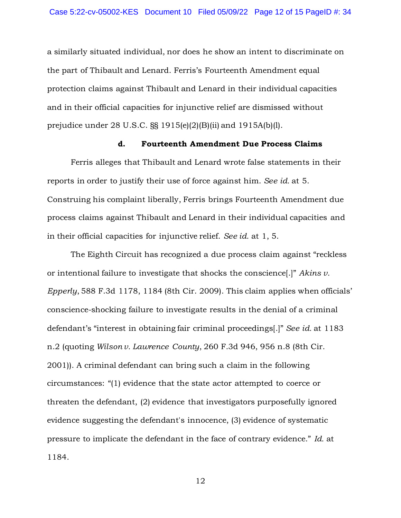a similarly situated individual, nor does he show an intent to discriminate on the part of Thibault and Lenard. Ferris's Fourteenth Amendment equal protection claims against Thibault and Lenard in their individual capacities and in their official capacities for injunctive relief are dismissed without prejudice under 28 U.S.C. §§ 1915(e)(2)(B)(ii) and 1915A(b)(l).

### **d. Fourteenth Amendment Due Process Claims**

Ferris alleges that Thibault and Lenard wrote false statements in their reports in order to justify their use of force against him. *See id.* at 5. Construing his complaint liberally, Ferris brings Fourteenth Amendment due process claims against Thibault and Lenard in their individual capacities and in their official capacities for injunctive relief. *See id.* at 1, 5.

The Eighth Circuit has recognized a due process claim against "reckless or intentional failure to investigate that shocks the conscience[.]" *Akins v. Epperly*, 588 F.3d 1178, 1184 (8th Cir. 2009). This claim applies when officials' conscience-shocking failure to investigate results in the denial of a criminal defendant's "interest in obtaining fair criminal proceedings[.]" *See id.* at 1183 n.2 (quoting *Wilson v. Lawrence County*, 260 F.3d 946, 956 n.8 (8th Cir. 2001)). A criminal defendant can bring such a claim in the following circumstances: "(1) evidence that the state actor attempted to coerce or threaten the defendant, (2) evidence that investigators purposefully ignored evidence suggesting the defendant's innocence, (3) evidence of systematic pressure to implicate the defendant in the face of contrary evidence." *Id.* at 1184.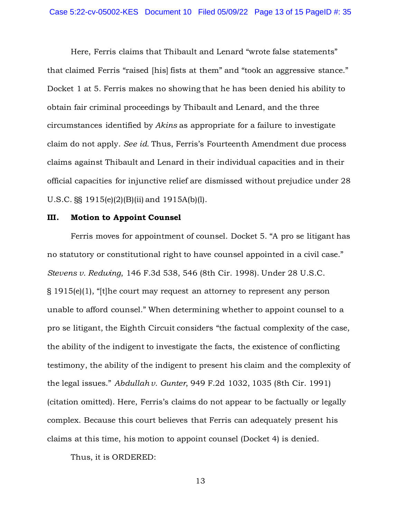Here, Ferris claims that Thibault and Lenard "wrote false statements" that claimed Ferris "raised [his] fists at them" and "took an aggressive stance." Docket 1 at 5. Ferris makes no showing that he has been denied his ability to obtain fair criminal proceedings by Thibault and Lenard, and the three circumstances identified by *Akins* as appropriate for a failure to investigate claim do not apply. *See id.* Thus, Ferris's Fourteenth Amendment due process claims against Thibault and Lenard in their individual capacities and in their official capacities for injunctive relief are dismissed without prejudice under 28 U.S.C. §§ 1915(e)(2)(B)(ii) and 1915A(b)(l).

#### **III. Motion to Appoint Counsel**

Ferris moves for appointment of counsel. Docket 5. "A pro se litigant has no statutory or constitutional right to have counsel appointed in a civil case." *Stevens v. Redwing*, 146 F.3d 538, 546 (8th Cir. 1998). Under 28 U.S.C. § 1915(e)(1), "[t]he court may request an attorney to represent any person unable to afford counsel." When determining whether to appoint counsel to a pro se litigant, the Eighth Circuit considers "the factual complexity of the case, the ability of the indigent to investigate the facts, the existence of conflicting testimony, the ability of the indigent to present his claim and the complexity of the legal issues." *Abdullah v. Gunter*, 949 F.2d 1032, 1035 (8th Cir. 1991) (citation omitted). Here, Ferris's claims do not appear to be factually or legally complex. Because this court believes that Ferris can adequately present his claims at this time, his motion to appoint counsel (Docket 4) is denied.

Thus, it is ORDERED: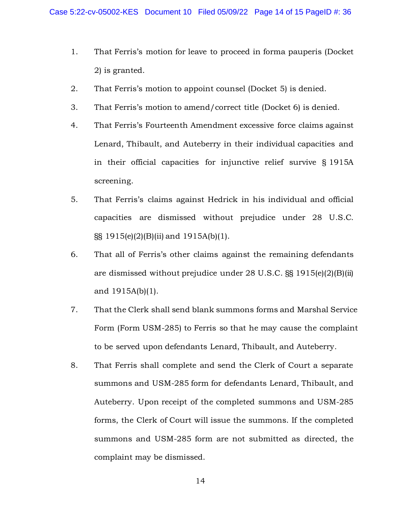- 1. That Ferris's motion for leave to proceed in forma pauperis (Docket 2) is granted.
- 2. That Ferris's motion to appoint counsel (Docket 5) is denied.
- 3. That Ferris's motion to amend/correct title (Docket 6) is denied.
- 4. That Ferris's Fourteenth Amendment excessive force claims against Lenard, Thibault, and Auteberry in their individual capacities and in their official capacities for injunctive relief survive § 1915A screening.
- 5. That Ferris's claims against Hedrick in his individual and official capacities are dismissed without prejudice under 28 U.S.C. §§ 1915(e)(2)(B)(ii) and 1915A(b)(1).
- 6. That all of Ferris's other claims against the remaining defendants are dismissed without prejudice under 28 U.S.C. §§ 1915(e)(2)(B)(ii) and 1915A(b)(1).
- 7. That the Clerk shall send blank summons forms and Marshal Service Form (Form USM-285) to Ferris so that he may cause the complaint to be served upon defendants Lenard, Thibault, and Auteberry.
- 8. That Ferris shall complete and send the Clerk of Court a separate summons and USM-285 form for defendants Lenard, Thibault, and Auteberry. Upon receipt of the completed summons and USM-285 forms, the Clerk of Court will issue the summons. If the completed summons and USM-285 form are not submitted as directed, the complaint may be dismissed.